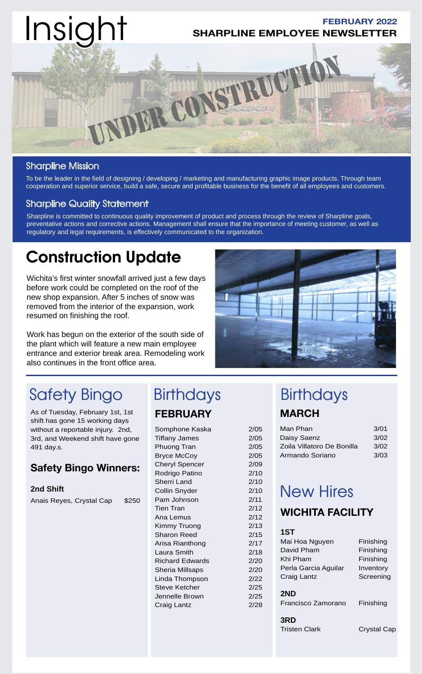

## Sharpline Mission

To be the leader in the field of designing / developing / marketing and manufacturing graphic image products. Through team cooperation and superior service, build a safe, secure and profitable business for the benefit of all employees and customers.

### Sharpline Quality Statement

Sharpline is committed to continuous quality improvement of product and process through the review of Sharpline goals, preventative actions and corrective actions. Management shall ensure that the importance of meeting customer, as well as regulatory and legal requirements, is effectively communicated to the organization.

# Construction Update

Wichita's first winter snowfall arrived just a few days before work could be completed on the roof of the new shop expansion. After 5 inches of snow was removed from the interior of the expansion, work resumed on finishing the roof.

Work has begun on the exterior of the south side of the plant which will feature a new main employee entrance and exterior break area. Remodeling work also continues in the front office area.



# Safety Bingo Birthdays Birthdays

As of Tuesday, February 1st, 1st shift has gone 15 working days without a reportable injury. 2nd, 3rd, and Weekend shift have gone 491 day.s.

# **Safety Bingo Winners:**

**2nd Shift** Anais Reyes, Crystal Cap \$250

# **FEBRUARY**

Somphone Kaska 2/05 Tiffany James 2/05 Phuong Tran 2/05 Bryce McCoy 2/05 Cheryl Spencer 2/09 Rodrigo Patino 2/10 Sherri Land 2/10 Collin Snyder 2/10 Pam Johnson 2/11 Tien Tran 2/12 Ana Lemus 2/12 Kimmy Truong 2/13 Sharon Reed 2/15 Arisa Rianthong 2/17 Laura Smith 2/18 Richard Edwards 2/20 Sheria Millsaps 2/20 Linda Thompson 2/22 Steve Ketcher 2/25 Jennelle Brown 2/25 Craig Lantz 2/28

# **MARCH**

| Man Phan                   | 3/01 |
|----------------------------|------|
| Daisy Saenz                | 3/02 |
| Zoila Villatoro De Bonilla | 3/02 |
| Armando Soriano            | 3/03 |

# New Hires

# **WICHITA FACILITY**

## **1ST**

| Mai Hoa Nguyen                     | Finishing   |
|------------------------------------|-------------|
| David Pham                         | Finishing   |
| Khi Pham                           | Finishing   |
| Perla Garcia Aguilar               | Inventory   |
| Craig Lantz                        | Screening   |
| 2ND<br>Francisco Zamorano          | Finishing   |
| <b>3RD</b><br><b>Tristen Clark</b> | Crystal Cap |